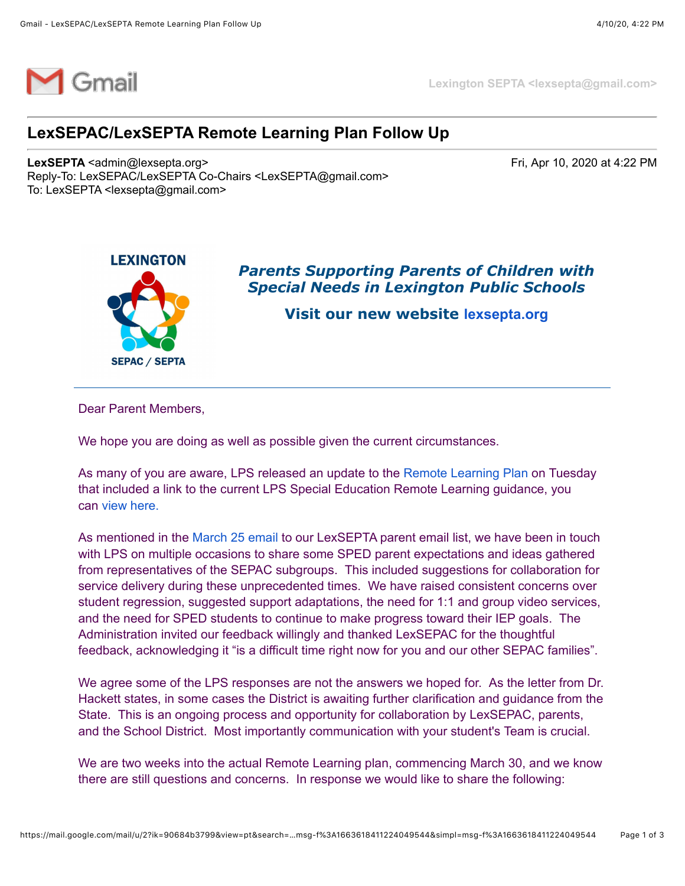

**Lexington SEPTA <lexsepta@gmail.com>**

## **LexSEPAC/LexSEPTA Remote Learning Plan Follow Up**

**LexSEPTA** <admin@lexsepta.org> **Fri**, Apr 10, 2020 at 4:22 PM Reply-To: LexSEPAC/LexSEPTA Co-Chairs <LexSEPTA@gmail.com> To: LexSEPTA <lexsepta@gmail.com>



## *Parents Supporting Parents of Children with Special Needs in Lexington Public Schools*

**Visit our new website [lexsepta.org](https://lexsepta.org/EmailTracker/LinkTracker.ashx?linkAndRecipientCode=DmhBZ3to3QHTt4tBwQc5fdF1Bnf%2bBeQmEQg6tkBAXiJjwdj0xSztDGk5QUsmNLJAF6O99T7FqylrwtpHTiPDdT4XH0fDEmMR0QQ85bzvHGY%3d)**

Dear Parent Members,

We hope you are doing as well as possible given the current circumstances.

As many of you are aware, LPS released an update to the [Remote Learning Plan](https://lexsepta.org/EmailTracker/LinkTracker.ashx?linkAndRecipientCode=NcBjEa1z2tT6ucsogzzIYxVMjx%2bYn0arUH39G3ubvnbLRSZD8dFZyjKhUimvw1%2bS6FiaGWyTZpXe5UxEDHGYjr6DNUKjLJ4NlKAD%2fi8jCpU%3d) on Tuesday that included a link to the current LPS Special Education Remote Learning guidance, you can [view here.](https://lexsepta.org/EmailTracker/LinkTracker.ashx?linkAndRecipientCode=L54z2So1ERz2ItxFRDo44iUE37rkmNn86hWY4%2fKPQW5JVy%2bq9EbCXhyi8%2bbjXJYBkYWU19M%2foSD%2fFOjP0CS%2bdH27GAMeNQkZj15RCPL2AA4%3d)

As mentioned in the [March 25 email](https://lexsepta.org/EmailTracker/LinkTracker.ashx?linkAndRecipientCode=jSJ7ysdqmcxtc6DhDmcxBw7dFVtoSNn9UNbyVc45TPLohgvuLVhXMmH03lITrJ%2fj%2fB92U12JXXL6xidrao1COBVRpvWL3pNgypwcI6HEjD8%3d) to our LexSEPTA parent email list, we have been in touch with LPS on multiple occasions to share some SPED parent expectations and ideas gathered from representatives of the SEPAC subgroups. This included suggestions for collaboration for service delivery during these unprecedented times. We have raised consistent concerns over student regression, suggested support adaptations, the need for 1:1 and group video services, and the need for SPED students to continue to make progress toward their IEP goals.The Administration invited our feedback willingly and thanked LexSEPAC for the thoughtful feedback, acknowledging it "is a difficult time right now for you and our other SEPAC families".

We agree some of the LPS responses are not the answers we hoped for. As the letter from Dr. Hackett states, in some cases the District is awaiting further clarification and guidance from the State. This is an ongoing process and opportunity for collaboration by LexSEPAC, parents, and the School District. Most importantly communication with your student's Team is crucial.

We are two weeks into the actual Remote Learning plan, commencing March 30, and we know there are still questions and concerns. In response we would like to share the following: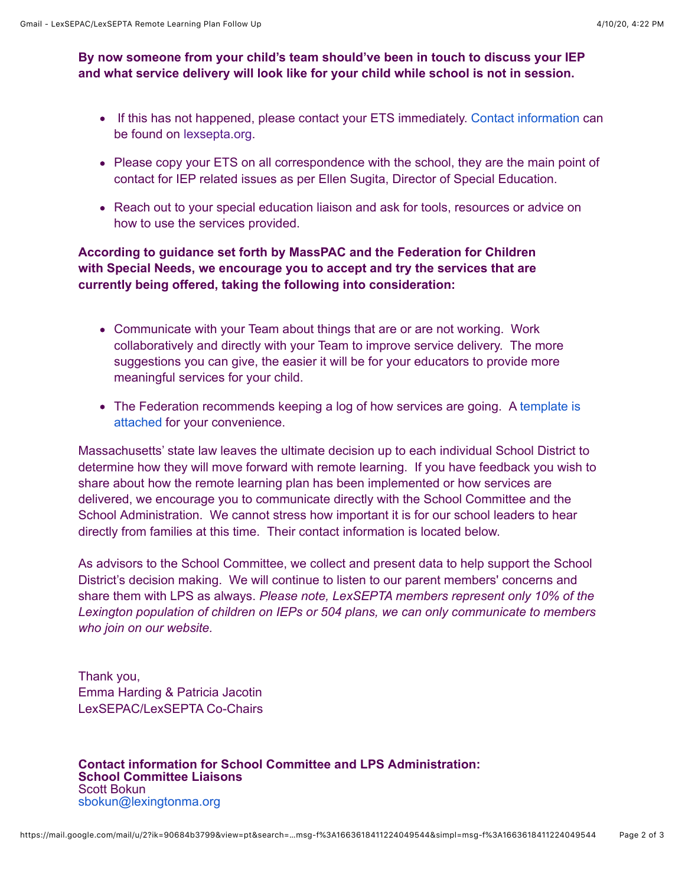## **By now someone from your child's team should've been in touch to discuss your IEP and what service delivery will look like for your child while school is not in session.**

- If this has not happened, please contact your ETS immediately. [Contact information](https://lexsepta.org/EmailTracker/LinkTracker.ashx?linkAndRecipientCode=tTvL0BoxTlfRtvmGRTQAZlnJ6lZGRRdpT0LMNtoXE56aO3SQAzYEj13rSZBHuAPFgN8TVbKXVHCf78tlaK6S4TuSlAecgzdS3RdFzMkQvDE%3d) can be found on [lexsepta.org](http://lexsepta.org/).
- Please copy your ETS on all correspondence with the school, they are the main point of contact for IEP related issues as per Ellen Sugita, Director of Special Education.
- Reach out to your special education liaison and ask for tools, resources or advice on how to use the services provided.

## **According to guidance set forth by MassPAC and the Federation for Children with Special Needs, we encourage you to accept and try the services that are currently being offered, taking the following into consideration:**

- Communicate with your Team about things that are or are not working. Work collaboratively and directly with your Team to improve service delivery. The more suggestions you can give, the easier it will be for your educators to provide more meaningful services for your child.
- [The Federation recommends keeping a log of how services are going. A template is](https://lexsepta.org/EmailTracker/LinkTracker.ashx?linkAndRecipientCode=fkv%2fzge%2b6Hg1gh9LLzVRCClT1jaUXoG7k9AVHxiUivMchQxY1zFJyER4mPXQEoAx%2bwwKYmLmK57PWfLJzkk2vdBncMEs6exiR1vJe6px9fo%3d) attached for your convenience.

Massachusetts' state law leaves the ultimate decision up to each individual School District to determine how they will move forward with remote learning. If you have feedback you wish to share about how the remote learning plan has been implemented or how services are delivered, we encourage you to communicate directly with the School Committee and the School Administration. We cannot stress how important it is for our school leaders to hear directly from families at this time. Their contact information is located below.

As advisors to the School Committee, we collect and present data to help support the School District's decision making. We will continue to listen to our parent members' concerns and share them with LPS as always. *Please note, LexSEPTA members represent only 10% of the Lexington population of children on IEPs or 504 plans, we can only communicate to members who join on our website.*

Thank you, Emma Harding & Patricia Jacotin LexSEPAC/LexSEPTA Co-Chairs

**Contact information for School Committee and LPS Administration: School Committee Liaisons**  Scott Bokun [sbokun@lexingtonma.org](mailto:sbokun@lexingtonma.org)